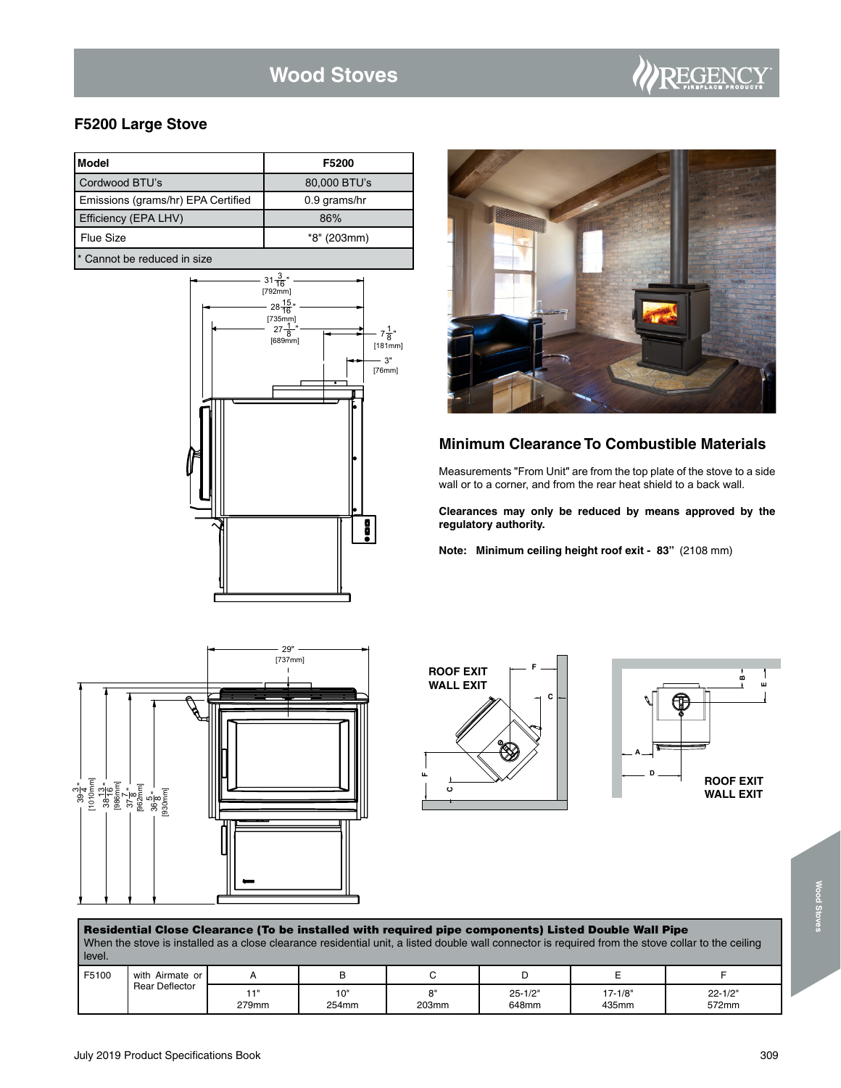# **Wood Stoves**

## **F5200 Large Stove**

| Model                              | F5200        |
|------------------------------------|--------------|
| Cordwood BTU's                     | 80,000 BTU's |
| Emissions (grams/hr) EPA Certified | 0.9 grams/hr |
| Efficiency (EPA LHV)               | 86%          |
| Flue Size                          | *8" (203mm)  |
| * Cannot be reduced in size        |              |

31 <del>3</del><br>[792mm]  $28\frac{15}{16}$ " 1 [735mm] 27 8 "  $7\frac{1}{8}$ " [689mm] [181mm] 3" [76mm] H



REGENC

## **Minimum Clearance To Combustible Materials**

Measurements "From Unit" are from the top plate of the stove to a side wall or to a corner, and from the rear heat shield to a back wall.

**Clearances may only be reduced by means approved by the regulatory authority.**

**Note: Minimum ceiling height roof exit - 83"** (2108 mm)







| Residential Close Clearance (To be installed with required pipe components) Listed Double Wall Pipe<br>When the stove is installed as a close clearance residential unit, a listed double wall connector is required from the stove collar to the ceiling<br>level. |                 |              |              |             |                      |                      |                      |  |  |
|---------------------------------------------------------------------------------------------------------------------------------------------------------------------------------------------------------------------------------------------------------------------|-----------------|--------------|--------------|-------------|----------------------|----------------------|----------------------|--|--|
| F5100                                                                                                                                                                                                                                                               | with Airmate or |              | в            |             |                      |                      |                      |  |  |
|                                                                                                                                                                                                                                                                     | Rear Deflector  | 11'<br>279mm | 10"<br>254mm | я"<br>203mm | $25 - 1/2"$<br>648mm | $17 - 1/8"$<br>435mm | $22 - 1/2"$<br>572mm |  |  |